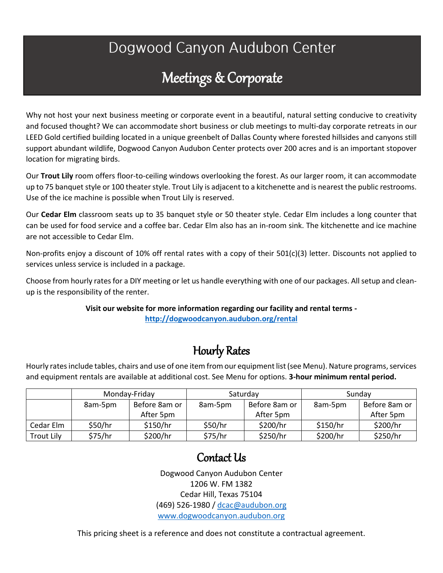# Dogwood Canyon Audubon Center

# Meetings & Corporate

Why not host your next business meeting or corporate event in a beautiful, natural setting conducive to creativity and focused thought? We can accommodate short business or club meetings to multi-day corporate retreats in our LEED Gold certified building located in a unique greenbelt of Dallas County where forested hillsides and canyons still support abundant wildlife, Dogwood Canyon Audubon Center protects over 200 acres and is an important stopover location for migrating birds.

Our **Trout Lily** room offers floor-to-ceiling windows overlooking the forest. As our larger room, it can accommodate up to 75 banquet style or 100 theater style. Trout Lily is adjacent to a kitchenette and is nearest the public restrooms. Use of the ice machine is possible when Trout Lily is reserved.

Our **Cedar Elm** classroom seats up to 35 banquet style or 50 theater style. Cedar Elm includes a long counter that can be used for food service and a coffee bar. Cedar Elm also has an in-room sink. The kitchenette and ice machine are not accessible to Cedar Elm.

Non-profits enjoy a discount of 10% off rental rates with a copy of their 501(c)(3) letter. Discounts not applied to services unless service is included in a package.

Choose from hourly rates for a DIY meeting or let us handle everything with one of our packages. All setup and cleanup is the responsibility of the renter.

#### **Visit our website for more information regarding our facility and rental terms <http://dogwoodcanyon.audubon.org/rental>**

## Hourly Rates

Hourly rates include tables, chairs and use of one item from our equipment list (see Menu). Nature programs, services and equipment rentals are available at additional cost. See Menu for options. **3-hour minimum rental period.**

|                   | Monday-Friday |               | Saturday |               | Sunday   |               |
|-------------------|---------------|---------------|----------|---------------|----------|---------------|
|                   | 8am-5pm       | Before 8am or | 8am-5pm  | Before 8am or | 8am-5pm  | Before 8am or |
|                   |               | After 5pm     |          | After 5pm     |          | After 5pm     |
| Cedar Elm         | \$50/hr       | \$150/hr      | \$50/hr  | \$200/hr      | \$150/hr | \$200/hr      |
| <b>Trout Lily</b> | \$75/hr       | \$200/hr      | \$75/hr  | \$250/hr      | \$200/hr | \$250/hr      |

### Contact Us

Dogwood Canyon Audubon Center 1206 W. FM 1382 Cedar Hill, Texas 75104 (469) 526-1980 / [dcac@audubon.org](mailto:dcac@audubon.org) [www.dogwoodcanyon.audubon.org](http://www.dogwoodcanyon.audubon.org/)

This pricing sheet is a reference and does not constitute a contractual agreement.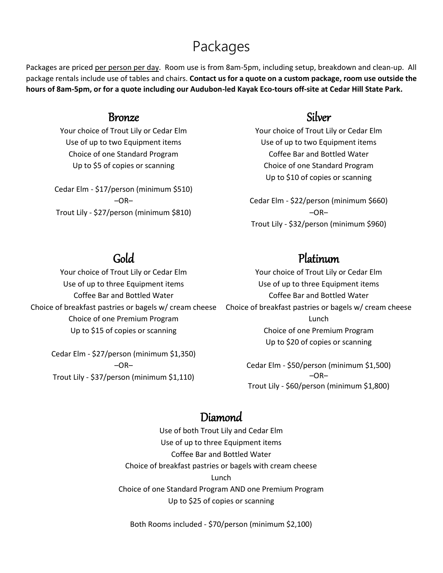## Packages

Packages are priced per person per day. Room use is from 8am-5pm, including setup, breakdown and clean-up. All package rentals include use of tables and chairs. **Contact us for a quote on a custom package, room use outside the hours of 8am-5pm, or for a quote including our Audubon-led Kayak Eco-tours off-site at Cedar Hill State Park.**

### Bronze

Your choice of Trout Lily or Cedar Elm Use of up to two Equipment items Choice of one Standard Program Up to \$5 of copies or scanning

Cedar Elm - \$17/person (minimum \$510)  $-OR-$ Trout Lily - \$27/person (minimum \$810)

### Silver

Your choice of Trout Lily or Cedar Elm Use of up to two Equipment items Coffee Bar and Bottled Water Choice of one Standard Program Up to \$10 of copies or scanning

Cedar Elm - \$22/person (minimum \$660)  $-OR-$ Trout Lily - \$32/person (minimum \$960)

### Gold

Your choice of Trout Lily or Cedar Elm Use of up to three Equipment items Coffee Bar and Bottled Water Choice of breakfast pastries or bagels w/ cream cheese Choice of one Premium Program Up to \$15 of copies or scanning

> Cedar Elm - \$27/person (minimum \$1,350)  $-OR-$ Trout Lily - \$37/person (minimum \$1,110)

### Platinum

Your choice of Trout Lily or Cedar Elm Use of up to three Equipment items Coffee Bar and Bottled Water Choice of breakfast pastries or bagels w/ cream cheese Lunch Choice of one Premium Program Up to \$20 of copies or scanning

Cedar Elm - \$50/person (minimum \$1,500)  $-OR-$ Trout Lily - \$60/person (minimum \$1,800)

### Diamond

Use of both Trout Lily and Cedar Elm Use of up to three Equipment items Coffee Bar and Bottled Water Choice of breakfast pastries or bagels with cream cheese Lunch Choice of one Standard Program AND one Premium Program Up to \$25 of copies or scanning

Both Rooms included - \$70/person (minimum \$2,100)